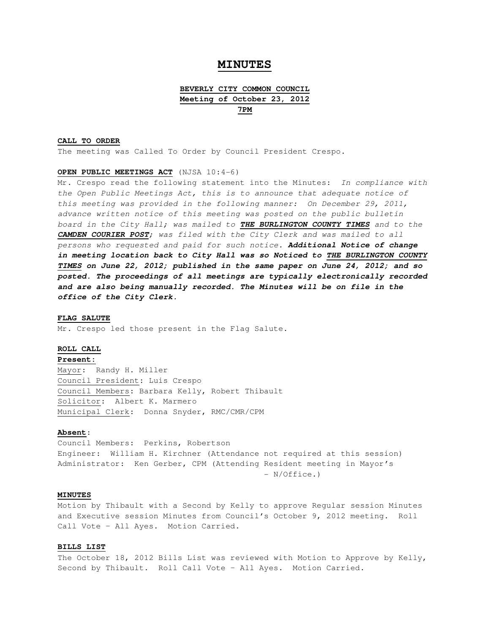# **MINUTES**

# **BEVERLY CITY COMMON COUNCIL Meeting of October 23, 2012 7PM**

#### **CALL TO ORDER**

The meeting was Called To Order by Council President Crespo.

### **OPEN PUBLIC MEETINGS ACT** (NJSA 10:4-6)

Mr. Crespo read the following statement into the Minutes: In compliance with the Open Public Meetings Act, this is to announce that adequate notice of this meeting was provided in the following manner: On December 29, 2011, advance written notice of this meeting was posted on the public bulletin board in the City Hall; was mailed to **THE BURLINGTON COUNTY TIMES** and to the **CAMDEN COURIER POST**; was filed with the City Clerk and was mailed to all persons who requested and paid for such notice. **Additional Notice of change in meeting location back to City Hall was so Noticed to THE BURLINGTON COUNTY TIMES on June 22, 2012; published in the same paper on June 24, 2012; and so posted. The proceedings of all meetings are typically electronically recorded and are also being manually recorded. The Minutes will be on file in the office of the City Clerk.** 

#### **FLAG SALUTE**

Mr. Crespo led those present in the Flag Salute.

#### **ROLL CALL**

### **Present:**

Mayor: Randy H. Miller Council President: Luis Crespo Council Members: Barbara Kelly, Robert Thibault Solicitor: Albert K. Marmero Municipal Clerk: Donna Snyder, RMC/CMR/CPM

### **Absent**:

Council Members: Perkins, Robertson Engineer: William H. Kirchner (Attendance not required at this session) Administrator: Ken Gerber, CPM (Attending Resident meeting in Mayor's - N/Office.)

### **MINUTES**

Motion by Thibault with a Second by Kelly to approve Regular session Minutes and Executive session Minutes from Council's October 9, 2012 meeting. Roll Call Vote – All Ayes. Motion Carried.

## **BILLS LIST**

The October 18, 2012 Bills List was reviewed with Motion to Approve by Kelly, Second by Thibault. Roll Call Vote – All Ayes. Motion Carried.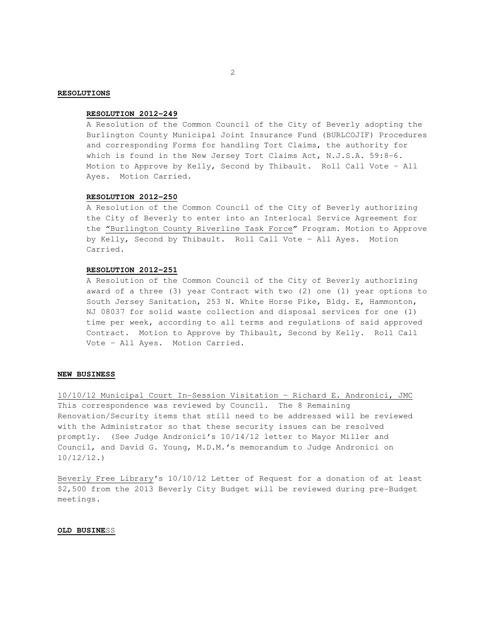### **RESOLUTIONS**

### **RESOLUTION 2012-249**

A Resolution of the Common Council of the City of Beverly adopting the Burlington County Municipal Joint Insurance Fund (BURLCOJIF) Procedures and corresponding Forms for handling Tort Claims, the authority for which is found in the New Jersey Tort Claims Act, N.J.S.A. 59:8-6. Motion to Approve by Kelly, Second by Thibault. Roll Call Vote – All Ayes. Motion Carried.

## **RESOLUTION 2012-250**

 A Resolution of the Common Council of the City of Beverly authorizing the City of Beverly to enter into an Interlocal Service Agreement for the "Burlington County Riverline Task Force" Program. Motion to Approve by Kelly, Second by Thibault. Roll Call Vote – All Ayes. Motion Carried.

#### **RESOLUTION 2012-251**

 A Resolution of the Common Council of the City of Beverly authorizing award of a three (3) year Contract with two (2) one (1) year options to South Jersey Sanitation, 253 N. White Horse Pike, Bldg. E, Hammonton, NJ 08037 for solid waste collection and disposal services for one (1) time per week, according to all terms and regulations of said approved Contract. Motion to Approve by Thibault, Second by Kelly. Roll Call Vote – All Ayes. Motion Carried.

## **NEW BUSINESS**

10/10/12 Municipal Court In-Session Visitation – Richard E. Andronici, JMC This correspondence was reviewed by Council. The 8 Remaining Renovation/Security items that still need to be addressed will be reviewed with the Administrator so that these security issues can be resolved promptly. (See Judge Andronici's 10/14/12 letter to Mayor Miller and Council, and David G. Young, M.D.M.'s memorandum to Judge Andronici on 10/12/12.)

Beverly Free Library's 10/10/12 Letter of Request for a donation of at least \$2,500 from the 2013 Beverly City Budget will be reviewed during pre-Budget meetings.

### **OLD BUSINE**SS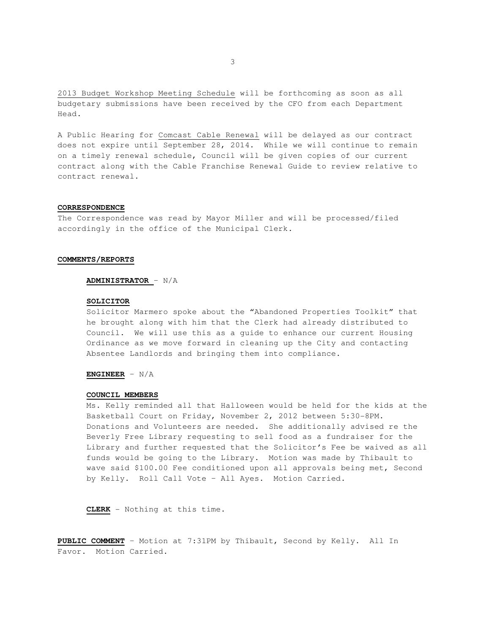2013 Budget Workshop Meeting Schedule will be forthcoming as soon as all budgetary submissions have been received by the CFO from each Department Head.

A Public Hearing for Comcast Cable Renewal will be delayed as our contract does not expire until September 28, 2014. While we will continue to remain on a timely renewal schedule, Council will be given copies of our current contract along with the Cable Franchise Renewal Guide to review relative to contract renewal.

#### **CORRESPONDENCE**

The Correspondence was read by Mayor Miller and will be processed/filed accordingly in the office of the Municipal Clerk.

#### **COMMENTS/REPORTS**

### **ADMINISTRATOR** – N/A

#### **SOLICITOR**

Solicitor Marmero spoke about the "Abandoned Properties Toolkit" that he brought along with him that the Clerk had already distributed to Council. We will use this as a guide to enhance our current Housing Ordinance as we move forward in cleaning up the City and contacting Absentee Landlords and bringing them into compliance.

# **ENGINEER** – N/A

## **COUNCIL MEMBERS**

Ms. Kelly reminded all that Halloween would be held for the kids at the Basketball Court on Friday, November 2, 2012 between 5:30-8PM. Donations and Volunteers are needed. She additionally advised re the Beverly Free Library requesting to sell food as a fundraiser for the Library and further requested that the Solicitor's Fee be waived as all funds would be going to the Library. Motion was made by Thibault to wave said \$100.00 Fee conditioned upon all approvals being met, Second by Kelly. Roll Call Vote – All Ayes. Motion Carried.

**CLERK** - Nothing at this time.

**PUBLIC COMMENT** – Motion at 7:31PM by Thibault, Second by Kelly. All In Favor. Motion Carried.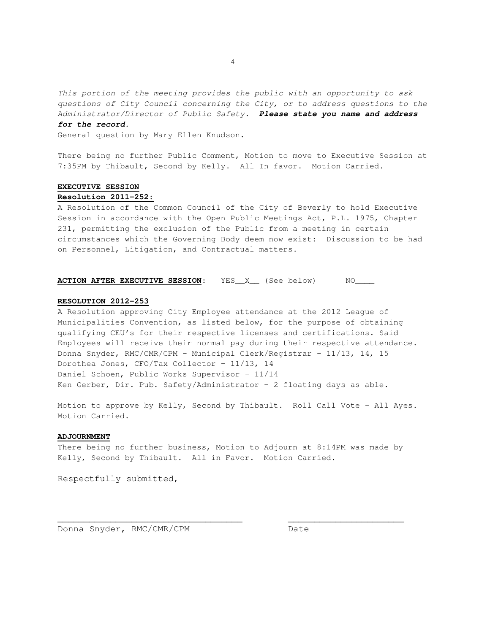This portion of the meeting provides the public with an opportunity to ask questions of City Council concerning the City, or to address questions to the Administrator/Director of Public Safety. **Please state you name and address** 

#### **for the record.**

General question by Mary Ellen Knudson.

There being no further Public Comment, Motion to move to Executive Session at 7:35PM by Thibault, Second by Kelly. All In favor. Motion Carried.

### **EXECUTIVE SESSION**

## **Resolution 2011-252:**

A Resolution of the Common Council of the City of Beverly to hold Executive Session in accordance with the Open Public Meetings Act, P.L. 1975, Chapter 231, permitting the exclusion of the Public from a meeting in certain circumstances which the Governing Body deem now exist: Discussion to be had on Personnel, Litigation, and Contractual matters.

### **ACTION AFTER EXECUTIVE SESSION:** YES\_X\_\_ (See below) NO\_\_\_\_

#### **RESOLUTION 2012-253**

A Resolution approving City Employee attendance at the 2012 League of Municipalities Convention, as listed below, for the purpose of obtaining qualifying CEU's for their respective licenses and certifications. Said Employees will receive their normal pay during their respective attendance. Donna Snyder, RMC/CMR/CPM – Municipal Clerk/Registrar – 11/13, 14, 15 Dorothea Jones, CFO/Tax Collector – 11/13, 14 Daniel Schoen, Public Works Supervisor – 11/14 Ken Gerber, Dir. Pub. Safety/Administrator – 2 floating days as able.

Motion to approve by Kelly, Second by Thibault. Roll Call Vote – All Ayes. Motion Carried.

## **ADJOURNMENT**

There being no further business, Motion to Adjourn at 8:14PM was made by Kelly, Second by Thibault. All in Favor. Motion Carried.

 $\overline{\phantom{a}}$  , and the contribution of the contribution of  $\overline{\phantom{a}}$  , and  $\overline{\phantom{a}}$  , and  $\overline{\phantom{a}}$  , and  $\overline{\phantom{a}}$  , and  $\overline{\phantom{a}}$  , and  $\overline{\phantom{a}}$  , and  $\overline{\phantom{a}}$  , and  $\overline{\phantom{a}}$  , and  $\overline{\phantom{a}}$  , and

Respectfully submitted,

Donna Snyder, RMC/CMR/CPM Date